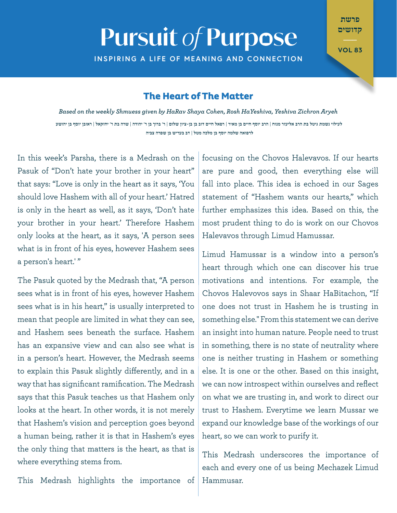## **Pursuit of Purpose**

**INSPIRING A LIFE OF MEANING AND CONNECTION** 

פרשת קדושים

**VOL 83** 

## **The Heart of The Matter**

*Aryeh Zichron Yeshiva ,HaYeshiva Rosh ,Cohen Shaya HaRav by given Shmuess weekly the on Based* לעילוי נשמת גיטל בת הרב אליעזר מנוח | הרב יוסף חיים בן מאיר | רפאל חיים דוב בן בן-ציון שלום | ר' ברוך בן ר' יהודה | שרה בת ר' יחזקאל | ראובן יוסף בן יהושע לרפואה שלמה יוסף בן מלכה מטל | דב בעריש בן שפרה צביה

In this week's Parsha, there is a Medrash on the Pasuk of "Don't hate your brother in your heart" that says: "Love is only in the heart as it says, 'You should love Hashem with all of your heart.' Hatred is only in the heart as well, as it says, 'Don't hate your brother in your heart.' Therefore Hashem only looks at the heart, as it says, 'A person sees what is in front of his eyes, however Hashem sees a person's heart.'"

The Pasuk quoted by the Medrash that, "A person sees what is in front of his eyes, however Hashem sees what is in his heart," is usually interpreted to mean that people are limited in what they can see, and Hashem sees beneath the surface. Hashem has an expansive view and can also see what is in a person's heart. However, the Medrash seems to explain this Pasuk slightly differently, and in a way that has significant ramification. The Medrash says that this Pasuk teaches us that Hashem only looks at the heart. In other words, it is not merely that Hashem's vision and perception goes beyond a human being, rather it is that in Hashem's eves the only thing that matters is the heart, as that is where everything stems from.

focusing on the Chovos Halevavos. If our hearts are pure and good, then everything else will fall into place. This idea is echoed in our Sages statement of "Hashem wants our hearts." which further emphasizes this idea. Based on this, the most prudent thing to do is work on our Chovos Halevavos through Limud Hamussar.

Limud Hamussar is a window into a person's heart through which one can discover his true motivations and intentions. For example, the Chovos Halevovos says in Shaar HaBitachon. "If one does not trust in Hashem he is trusting in something else." From this statement we can derive an insight into human nature. People need to trust in something, there is no state of neutrality where one is neither trusting in Hashem or something else. It is one or the other. Based on this insight, we can now introspect within ourselves and reflect on what we are trusting in, and work to direct our trust to Hashem. Everytime we learn Mussar we expand our knowledge base of the workings of our heart, so we can work to purify it.

This Medrash underscores the importance of each and every one of us being Mechazek Limud .Hammusar

This Medrash highlights the importance of